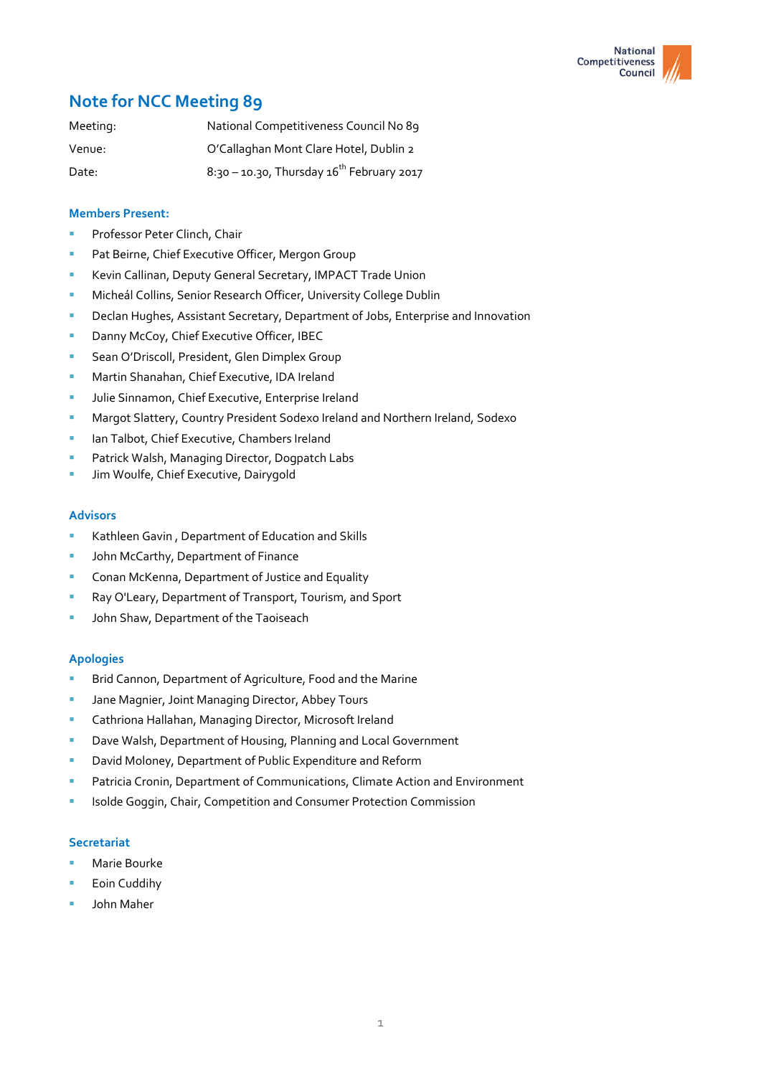

# **Note for NCC Meeting 89**

| Meeting: | National Competitiveness Council No 89         |
|----------|------------------------------------------------|
| Venue:   | O'Callaghan Mont Clare Hotel, Dublin 2         |
| Date:    | 8:30 - 10.30, Thursday $16^{th}$ February 2017 |

# **Members Present:**

- Professor Peter Clinch, Chair
- Pat Beirne, Chief Executive Officer, Mergon Group
- Kevin Callinan, Deputy General Secretary, IMPACT Trade Union
- Micheál Collins, Senior Research Officer, University College Dublin
- Declan Hughes, Assistant Secretary, Department of Jobs, Enterprise and Innovation
- Danny McCoy, Chief Executive Officer, IBEC
- Sean O'Driscoll, President, Glen Dimplex Group
- Martin Shanahan, Chief Executive, IDA Ireland
- **Julie Sinnamon, Chief Executive, Enterprise Ireland**
- Margot Slattery, Country President Sodexo Ireland and Northern Ireland, Sodexo
- Ian Talbot, Chief Executive, Chambers Ireland
- Patrick Walsh, Managing Director, Dogpatch Labs
- Jim Woulfe, Chief Executive, Dairygold

#### **Advisors**

- Kathleen Gavin , Department of Education and Skills
- John McCarthy, Department of Finance
- Conan McKenna, Department of Justice and Equality
- Ray O'Leary, Department of Transport, Tourism, and Sport
- John Shaw, Department of the Taoiseach

## **Apologies**

- Brid Cannon, Department of Agriculture, Food and the Marine
- Jane Magnier, Joint Managing Director, Abbey Tours
- **E** Cathriona Hallahan, Managing Director, Microsoft Ireland
- Dave Walsh, Department of Housing, Planning and Local Government
- David Moloney, Department of Public Expenditure and Reform
- Patricia Cronin, Department of Communications, Climate Action and Environment
- Isolde Goggin, Chair, Competition and Consumer Protection Commission

## **Secretariat**

- Marie Bourke
- Eoin Cuddihy
- John Maher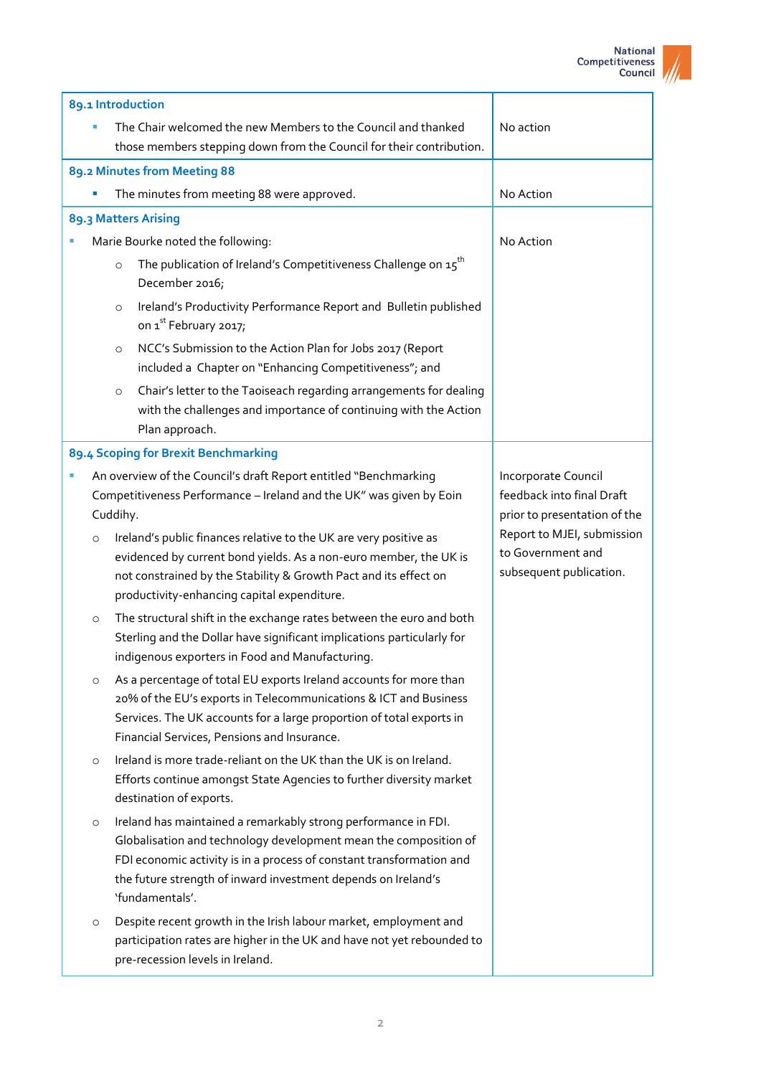

| 89.1 Introduction                                                                                                                                        |                                                                                                                                                                                                                                                                                                |                                                                                  |
|----------------------------------------------------------------------------------------------------------------------------------------------------------|------------------------------------------------------------------------------------------------------------------------------------------------------------------------------------------------------------------------------------------------------------------------------------------------|----------------------------------------------------------------------------------|
|                                                                                                                                                          | The Chair welcomed the new Members to the Council and thanked<br>those members stepping down from the Council for their contribution.                                                                                                                                                          | No action                                                                        |
|                                                                                                                                                          | 89.2 Minutes from Meeting 88                                                                                                                                                                                                                                                                   |                                                                                  |
|                                                                                                                                                          | The minutes from meeting 88 were approved.                                                                                                                                                                                                                                                     | No Action                                                                        |
| 89.3 Matters Arising                                                                                                                                     |                                                                                                                                                                                                                                                                                                |                                                                                  |
|                                                                                                                                                          | Marie Bourke noted the following:                                                                                                                                                                                                                                                              | No Action                                                                        |
| $\circ$                                                                                                                                                  | The publication of Ireland's Competitiveness Challenge on $15th$<br>December 2016;                                                                                                                                                                                                             |                                                                                  |
| $\circ$                                                                                                                                                  | Ireland's Productivity Performance Report and Bulletin published<br>on 1 <sup>st</sup> February 2017;                                                                                                                                                                                          |                                                                                  |
| $\circ$                                                                                                                                                  | NCC's Submission to the Action Plan for Jobs 2017 (Report<br>included a Chapter on "Enhancing Competitiveness"; and                                                                                                                                                                            |                                                                                  |
| $\circ$                                                                                                                                                  | Chair's letter to the Taoiseach regarding arrangements for dealing<br>with the challenges and importance of continuing with the Action<br>Plan approach.                                                                                                                                       |                                                                                  |
|                                                                                                                                                          | 89.4 Scoping for Brexit Benchmarking                                                                                                                                                                                                                                                           |                                                                                  |
| An overview of the Council's draft Report entitled "Benchmarking<br>ш<br>Competitiveness Performance - Ireland and the UK" was given by Eoin<br>Cuddihy. |                                                                                                                                                                                                                                                                                                | Incorporate Council<br>feedback into final Draft<br>prior to presentation of the |
| $\circ$                                                                                                                                                  | Ireland's public finances relative to the UK are very positive as<br>evidenced by current bond yields. As a non-euro member, the UK is<br>not constrained by the Stability & Growth Pact and its effect on<br>productivity-enhancing capital expenditure.                                      | Report to MJEI, submission<br>to Government and<br>subsequent publication.       |
| $\circ$                                                                                                                                                  | The structural shift in the exchange rates between the euro and both<br>Sterling and the Dollar have significant implications particularly for<br>indigenous exporters in Food and Manufacturing.                                                                                              |                                                                                  |
| $\circ$                                                                                                                                                  | As a percentage of total EU exports Ireland accounts for more than<br>20% of the EU's exports in Telecommunications & ICT and Business<br>Services. The UK accounts for a large proportion of total exports in<br>Financial Services, Pensions and Insurance.                                  |                                                                                  |
| $\circ$                                                                                                                                                  | Ireland is more trade-reliant on the UK than the UK is on Ireland.<br>Efforts continue amongst State Agencies to further diversity market<br>destination of exports.                                                                                                                           |                                                                                  |
| $\circ$                                                                                                                                                  | Ireland has maintained a remarkably strong performance in FDI.<br>Globalisation and technology development mean the composition of<br>FDI economic activity is in a process of constant transformation and<br>the future strength of inward investment depends on Ireland's<br>'fundamentals'. |                                                                                  |
| $\circ$                                                                                                                                                  | Despite recent growth in the Irish labour market, employment and<br>participation rates are higher in the UK and have not yet rebounded to<br>pre-recession levels in Ireland.                                                                                                                 |                                                                                  |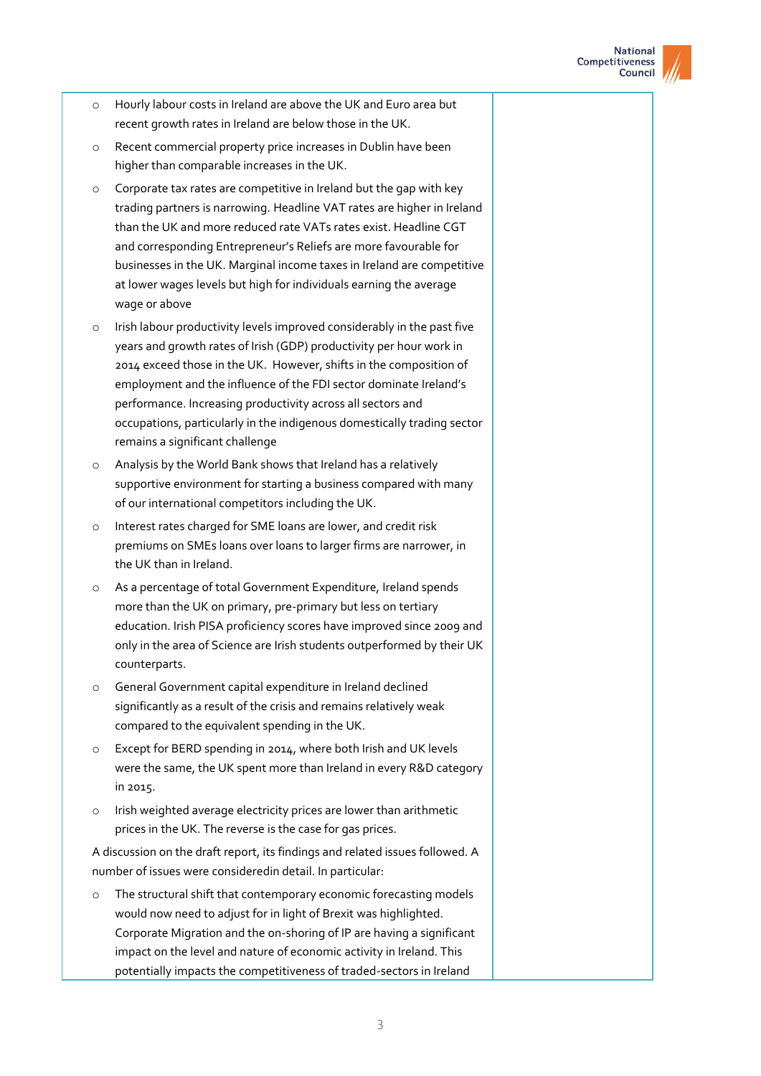

- o Hourly labour costs in Ireland are above the UK and Euro area but recent growth rates in Ireland are below those in the UK.
- o Recent commercial property price increases in Dublin have been higher than comparable increases in the UK.
- o Corporate tax rates are competitive in Ireland but the gap with key trading partners is narrowing. Headline VAT rates are higher in Ireland than the UK and more reduced rate VATs rates exist. Headline CGT and corresponding Entrepreneur's Reliefs are more favourable for businesses in the UK. Marginal income taxes in Ireland are competitive at lower wages levels but high for individuals earning the average wage or above
- o Irish labour productivity levels improved considerably in the past five years and growth rates of Irish (GDP) productivity per hour work in 2014 exceed those in the UK. However, shifts in the composition of employment and the influence of the FDI sector dominate Ireland's performance. Increasing productivity across all sectors and occupations, particularly in the indigenous domestically trading sector remains a significant challenge
- o Analysis by the World Bank shows that Ireland has a relatively supportive environment for starting a business compared with many of our international competitors including the UK.
- Interest rates charged for SME loans are lower, and credit risk premiums on SMEs loans over loans to larger firms are narrower, in the UK than in Ireland.
- As a percentage of total Government Expenditure, Ireland spends more than the UK on primary, pre-primary but less on tertiary education. Irish PISA proficiency scores have improved since 2009 and only in the area of Science are Irish students outperformed by their UK counterparts.
- o General Government capital expenditure in Ireland declined significantly as a result of the crisis and remains relatively weak compared to the equivalent spending in the UK.
- Except for BERD spending in 2014, where both Irish and UK levels were the same, the UK spent more than Ireland in every R&D category in 2015.
- o Irish weighted average electricity prices are lower than arithmetic prices in the UK. The reverse is the case for gas prices.

A discussion on the draft report, its findings and related issues followed. A number of issues were consideredin detail. In particular:

o The structural shift that contemporary economic forecasting models would now need to adjust for in light of Brexit was highlighted. Corporate Migration and the on-shoring of IP are having a significant impact on the level and nature of economic activity in Ireland. This potentially impacts the competitiveness of traded-sectors in Ireland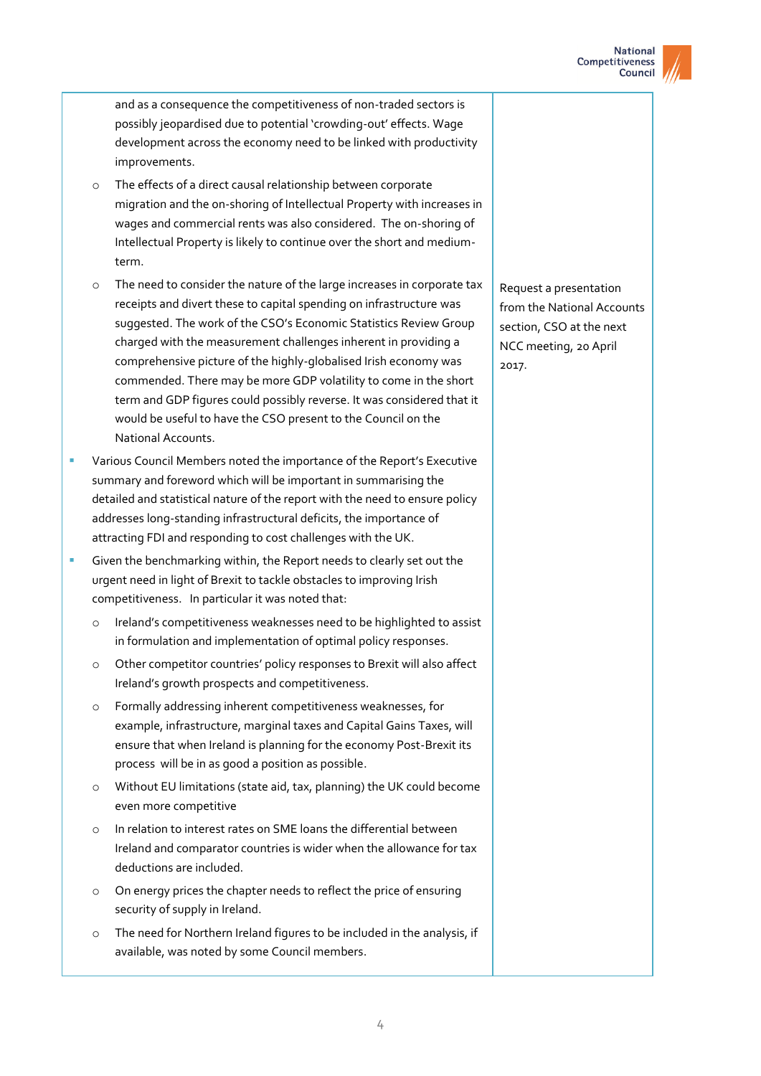

and as a consequence the competitiveness of non-traded sectors is possibly jeopardised due to potential 'crowding-out' effects. Wage development across the economy need to be linked with productivity improvements.

- o The effects of a direct causal relationship between corporate migration and the on-shoring of Intellectual Property with increases in wages and commercial rents was also considered. The on-shoring of Intellectual Property is likely to continue over the short and mediumterm.
- o The need to consider the nature of the large increases in corporate tax receipts and divert these to capital spending on infrastructure was suggested. The work of the CSO's Economic Statistics Review Group charged with the measurement challenges inherent in providing a comprehensive picture of the highly-globalised Irish economy was commended. There may be more GDP volatility to come in the short term and GDP figures could possibly reverse. It was considered that it would be useful to have the CSO present to the Council on the National Accounts.
- Various Council Members noted the importance of the Report's Executive summary and foreword which will be important in summarising the detailed and statistical nature of the report with the need to ensure policy addresses long-standing infrastructural deficits, the importance of attracting FDI and responding to cost challenges with the UK.
- Given the benchmarking within, the Report needs to clearly set out the urgent need in light of Brexit to tackle obstacles to improving Irish competitiveness. In particular it was noted that:
	- o Ireland's competitiveness weaknesses need to be highlighted to assist in formulation and implementation of optimal policy responses.
	- o Other competitor countries' policy responses to Brexit will also affect Ireland's growth prospects and competitiveness.
	- o Formally addressing inherent competitiveness weaknesses, for example, infrastructure, marginal taxes and Capital Gains Taxes, will ensure that when Ireland is planning for the economy Post-Brexit its process will be in as good a position as possible.
	- o Without EU limitations (state aid, tax, planning) the UK could become even more competitive
	- o In relation to interest rates on SME loans the differential between Ireland and comparator countries is wider when the allowance for tax deductions are included.
	- o On energy prices the chapter needs to reflect the price of ensuring security of supply in Ireland.
	- o The need for Northern Ireland figures to be included in the analysis, if available, was noted by some Council members.

Request a presentation from the National Accounts section, CSO at the next NCC meeting, 20 April 2017.